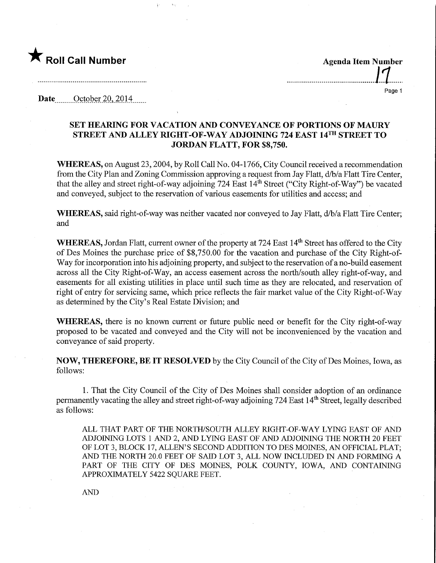

<u>|1</u> Page 1

Date........October 20,2014,

## SET HEARING FOR VACATION AND CONVEYANCE OF PORTIONS OF MAURY STREET AND ALLEY MGHT-OF-WAY ADJOINING 724 EAST 14™ STREET TO JORDAN FLATT, FOR \$8,750.

WHEREAS, on August 23,2004, by Roll Call No. 04-1766, City Council received a recommendation from the City Plan and Zoning Commission approving a request from Jay Flatt, d/b/a Flatt Tire Center, that the alley and street right-of-way adjoining 724 East  $14<sup>th</sup>$  Street ("City Right-of-Way") be vacated and conveyed, subject to the reservation of various easements for utilities and access; and

WHEREAS, said right-of-way was neither vacated nor conveyed to Jay Flatt, d/b/a Flatt Tire Center; and

WHEREAS, Jordan Flatt, current owner of the property at 724 East 14<sup>th</sup> Street has offered to the City of Des Moines the purchase price of \$8,750.00 for the vacation and purchase of the City Right-of-Way for incorporation into his adjoining property, and subject to the reservation of a no-build easement across all the City Right-of-Way, an access easement across the north/south alley right-of-way, and easements for all existing utilities in place until such time as they are relocated, and reservation of right of entry for servicing same, which price reflects the fair market value of the City Right-of-Way as determined by the City's Real Estate Division; and

WHEREAS, there is no known current or future public need or benefit for the City right-of-way proposed to be vacated and conveyed and the City will not be inconvenienced by the vacation and conveyance of said property.

NOW, THEREFORE, BE IT RESOLVED by the City Council of the City of Des Moines, Iowa, as follows:

1. That the City Council of the City of Des Moines shall consider adoption of an ordinance permanently vacating the alley and street right-of-way adjoining 724 East 14<sup>th</sup> Street, legally described as follows:

ALL THAT PART OF THE NORTH/SOUTH ALLEY RIGHT-OF-WAY LYING EAST OF AND ADJOINING LOTS 1 AND 2, AND LYING EAST OF AND ADJOINING THE NORTH 20 FEET OF LOT 3, BLOCK 17, ALLEN'S SECOND ADDITION TO DES MOINES, AN OFFICIAL PLAT; AND THE NORTH 20.0 FEET OF SAID LOT 3, ALL NOW INCLUDED IN AND FORMING A PART OF THE CITY OF DES MOINES, POLK COUNTY, IOWA, AND CONTAINING APPROXIMATELY 5422 SQUARE FEET.

AND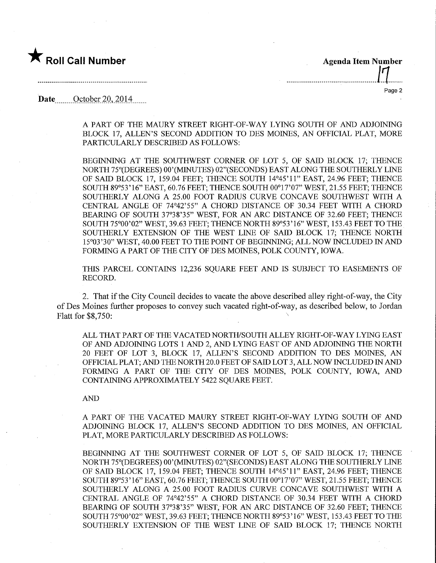

'..R"ca"Number......... \_—^. Page 2

Date  $\qquad$  October 20, 2014

A PART OF THE MAURY STREET RIGHT-OF-WAY LYING SOUTH OF AND ADJOINING BLOCK 17, ALLEN'S SECOND ADDITION TO DES MOINES, AN OFFICIAL PLAT, MORE PARTICULARLY DESCRIBED AS FOLLOWS:

BEGINNING AT THE SOUTHWEST CORNER OF LOT 5, OF SAID BLOCK 17; THENCE NORTH 75°(DEGREES) 00'(MINUTES) 02"(SECONDS) EAST ALONG THE SOUTHERLY LINE OF SAID BLOCK 17, 159.04 FEET; THENCE SOUTH 14°45'11" EAST, 24.96 FEET; THENCE SOUTH 89°53'16" EAST, 60.76 FEET; THENCE SOUTH 00°17'07" WEST, 21.55 FEET; THENCE SOUTHERLY ALONG A 25.00 FOOT RADIUS CURVE CONCAVE SOUTHWEST WITH A CENTRAL ANGLE OF 74°42'55" A CHORD DISTANCE OF 30.34 FEET WITH A CHORD BEARING OF SOUTH 37°38'35" WEST, FOR AN ARC DISTANCE OF 32.60 FEET; THENCE SOUTH 75°00'02" WEST, 39.63 FEET; THENCE NORTH 89°53'16" WEST, 153.43 FEET TO THE SOUTHERLY EXTENSION OF THE WEST LINE OF SAID BLOCK 17; THENCE NORTH 15°03'30" WEST, 40.00 FEET TO THE POINT OF BEGINNING; ALL NOW INCLUDED IN AND FORMING A PART OF THE CITY OF DES MOINES, POLK COUNTY, IOWA.

THIS PARCEL CONTAINS 12,236 SQUARE FEET AND IS SUBJECT TO EASEMENTS OF RECORD.

2. That if the City Council decides to vacate the above described alley right-of-way, the City of Des Moines further proposes to convey such vacated right-of-way, as described below, to Jordan Flatt for \$8,750:

ALL THAT PART OF THE VACATED NORTH/SOUTH ALLEY RIGHT-OF-WAY LYING EAST OF AND ADJOINING LOTS 1 AND 2, AND LYING EAST OF AND ADJOINING THE NORTH 20 FEET OF LOT 3, BLOCK 17, ALLEN'S SECOND ADDITION TO DES MOINES, AN OFFICIAL PLAT; AND THE NORTH 20.0 FEET OF SAID LOT 3, ALL NOW INCLUDED IN AND FORMING A PART OF THE CITY OF DES MOINES, POLK COUNTY, IOWA, AND CONTAINING APPROXIMATELY 5422 SQUARE FEET.

AND

A PART OF THE VACATED MAURY STREET RIGHT-OF-WAY LYING SOUTH OF AND ADJOINING BLOCK 17, ALLEN'S SECOND ADDITION TO DES MOINES, AN OFFICIAL PLAT, MORE PARTICULARLY DESCRIBED AS FOLLOWS:

BEGINNING AT THE SOUTHWEST CORNER OF LOT 5, OF SAID BLOCK 17; THENCE NORTH 75°(DEGREES) 00'(MINUTES) 02"(SECONDS) EAST ALONG THE SOUTHERLY LINE OF SAID BLOCK 17, 159.04 FEET; THENCE SOUTH 14°45'11" EAST, 24.96 FEET; THENCE SOUTH 89°53'16" EAST, 60.76 FEET; THENCE SOUTH 00°17'07" WEST, 21.55 FEET; THENCE SOUTHERLY ALONG A 25.00 FOOT RADIUS CURVE CONCAVE SOUTHWEST WITH A CENTRAL ANGLE OF 74°42'55" A CHORD DISTANCE OF 30.34 FEET WITH A CHORD BEARING OF SOUTH 37°38'35" WEST, FOR AN ARC DISTANCE OF 32.60 FEET; THENCE SOUTH 75°00'02" WEST, 39.63 FEET; THENCE NORTH 89°53'16" WEST, 153.43 FEET TO THE SOUTHERLY EXTENSION OF THE WEST LINE OF SAID BLOCK 17; THENCE NORTH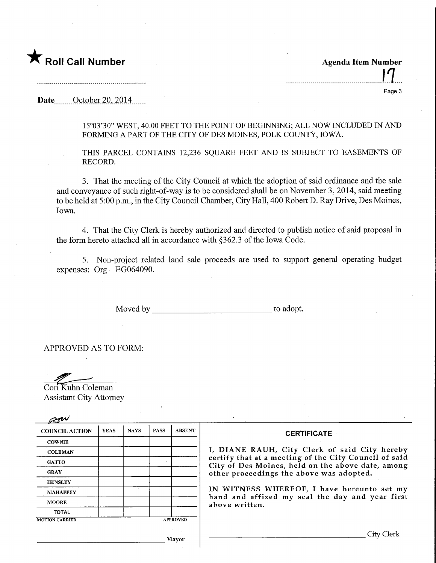## $\bigstar$  Roll Call Number

Agenda Item Number :11 Page 3

Date <u>October 20, 2014</u>

15°03'30" WEST, 40.00 FEET TO THE POINT OF BEGINNING; ALL NOW INCLUDED IN AND FORMING A PART OF THE CITY OF DES MOINES, POLK COUNTY, IOWA.

THIS PARCEL CONTAINS 12,236 SQUARE FEET AND IS SUBJECT TO EASEMENTS OF RECORD.

3. That the meeting of the City Council at which the adoption of said ordinance and the sale and conveyance of such right-of-way is to be considered shall be on November 3, 2014, said meeting to be held at 5:00 p.m., in the City Council Chamber, City Hall, 400 Robert D. Ray Drive, Des Moines, Iowa.

4. That the City Clerk is hereby authorized and directed to publish notice of said proposal in the form hereto attached all in accordance with §362.3 of the Iowa Code.

5. Non-project related land sale proceeds are used to support general operating budget expenses:  $Org - EG064090$ .

Moved by to adopt.

APPROVED AS TO FORM:

Cori Kuhn Coleman

Assistant City Attorney

| <b>COUNCIL ACTION</b>                    | <b>YEAS</b> | <b>NAYS</b> | <b>PASS</b> | <b>ABSENT</b> | <b>CERTIFICATE</b>                                                                                                                                                                                                                                                                                                         |
|------------------------------------------|-------------|-------------|-------------|---------------|----------------------------------------------------------------------------------------------------------------------------------------------------------------------------------------------------------------------------------------------------------------------------------------------------------------------------|
| <b>COWNIE</b>                            |             |             |             |               |                                                                                                                                                                                                                                                                                                                            |
| <b>COLEMAN</b>                           |             |             |             |               | I, DIANE RAUH, City Clerk of said City hereby<br>certify that at a meeting of the City Council of said<br>City of Des Moines, held on the above date, among<br>other proceedings the above was adopted.<br>IN WITNESS WHEREOF, I have hereunto set my<br>hand and affixed my seal the day and year first<br>above written. |
| <b>GATTO</b>                             |             |             |             |               |                                                                                                                                                                                                                                                                                                                            |
| <b>GRAY</b>                              |             |             |             |               |                                                                                                                                                                                                                                                                                                                            |
| <b>HENSLEY</b>                           |             |             |             |               |                                                                                                                                                                                                                                                                                                                            |
| <b>MAHAFFEY</b>                          |             |             |             |               |                                                                                                                                                                                                                                                                                                                            |
| <b>MOORE</b>                             |             |             |             |               |                                                                                                                                                                                                                                                                                                                            |
| <b>TOTAL</b>                             |             |             |             |               |                                                                                                                                                                                                                                                                                                                            |
| <b>APPROVED</b><br><b>MOTION CARRIED</b> |             |             |             |               |                                                                                                                                                                                                                                                                                                                            |
|                                          |             |             |             | Mayor         | City Cler                                                                                                                                                                                                                                                                                                                  |

 $\overline{\phantom{a}}$